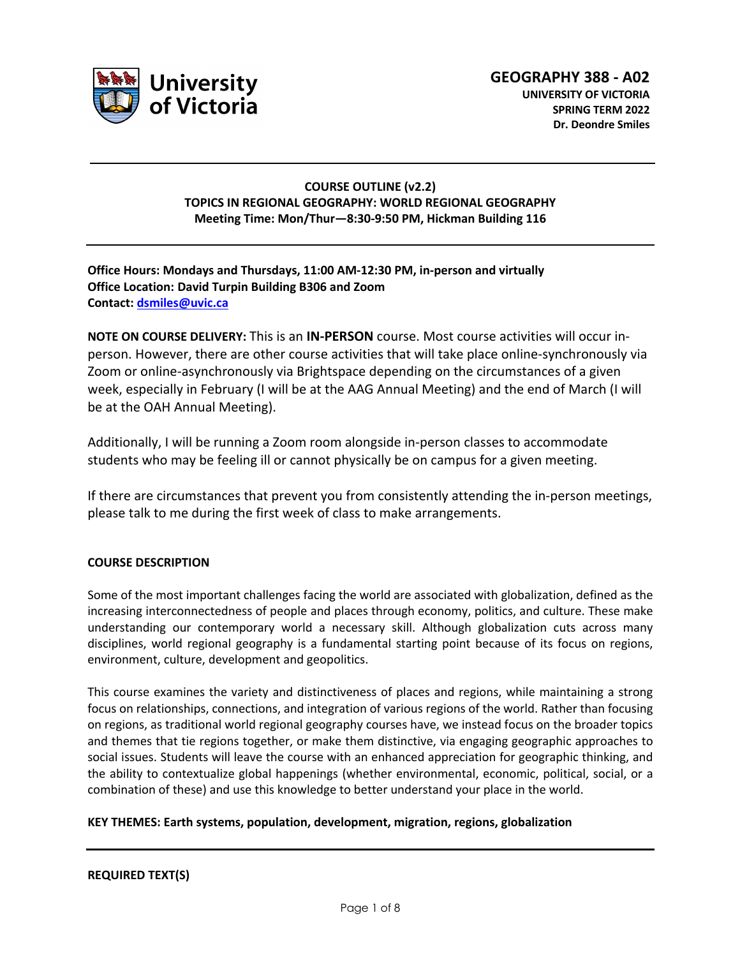

## **COURSE OUTLINE (v2.2) TOPICS IN REGIONAL GEOGRAPHY: WORLD REGIONAL GEOGRAPHY Meeting Time: Mon/Thur—8:30-9:50 PM, Hickman Building 116**

# **Office Hours: Mondays and Thursdays, 11:00 AM-12:30 PM, in-person and virtually Office Location: David Turpin Building B306 and Zoom Contact: dsmiles@uvic.ca**

**NOTE ON COURSE DELIVERY:** This is an **IN-PERSON** course. Most course activities will occur inperson. However, there are other course activities that will take place online-synchronously via Zoom or online-asynchronously via Brightspace depending on the circumstances of a given week, especially in February (I will be at the AAG Annual Meeting) and the end of March (I will be at the OAH Annual Meeting).

Additionally, I will be running a Zoom room alongside in-person classes to accommodate students who may be feeling ill or cannot physically be on campus for a given meeting.

If there are circumstances that prevent you from consistently attending the in-person meetings, please talk to me during the first week of class to make arrangements.

## **COURSE DESCRIPTION**

Some of the most important challenges facing the world are associated with globalization, defined as the increasing interconnectedness of people and places through economy, politics, and culture. These make understanding our contemporary world a necessary skill. Although globalization cuts across many disciplines, world regional geography is a fundamental starting point because of its focus on regions, environment, culture, development and geopolitics.

This course examines the variety and distinctiveness of places and regions, while maintaining a strong focus on relationships, connections, and integration of various regions of the world. Rather than focusing on regions, as traditional world regional geography courses have, we instead focus on the broader topics and themes that tie regions together, or make them distinctive, via engaging geographic approaches to social issues. Students will leave the course with an enhanced appreciation for geographic thinking, and the ability to contextualize global happenings (whether environmental, economic, political, social, or a combination of these) and use this knowledge to better understand your place in the world.

## **KEY THEMES: Earth systems, population, development, migration, regions, globalization**

## **REQUIRED TEXT(S)**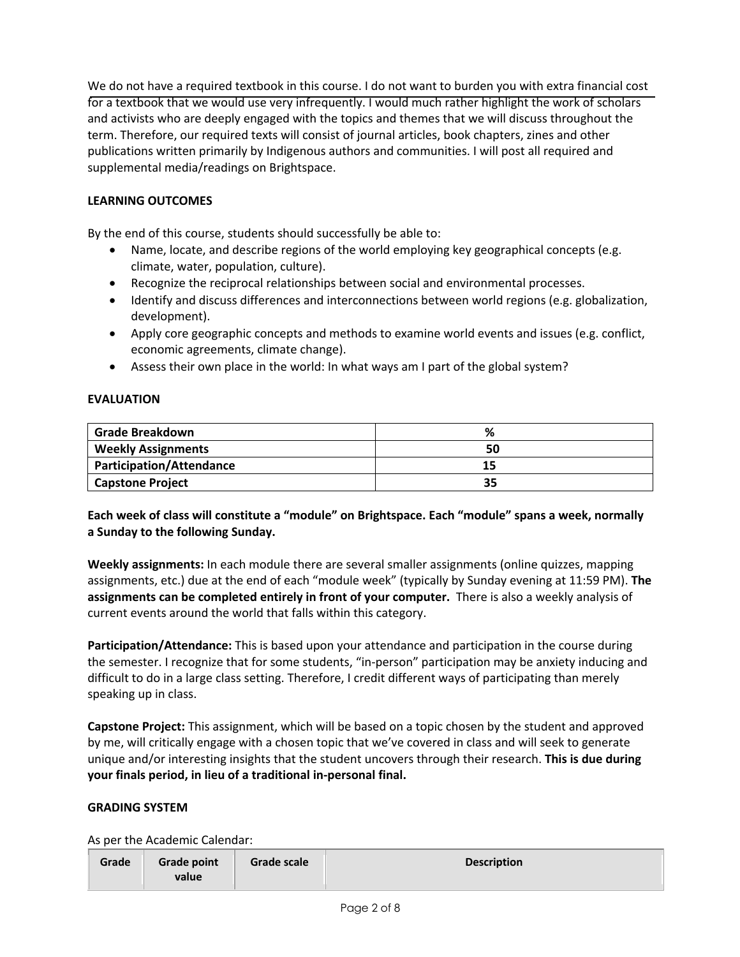We do not have a required textbook in this course. I do not want to burden you with extra financial cost for a textbook that we would use very infrequently. I would much rather highlight the work of scholars and activists who are deeply engaged with the topics and themes that we will discuss throughout the term. Therefore, our required texts will consist of journal articles, book chapters, zines and other publications written primarily by Indigenous authors and communities. I will post all required and supplemental media/readings on Brightspace.

# **LEARNING OUTCOMES**

By the end of this course, students should successfully be able to:

- Name, locate, and describe regions of the world employing key geographical concepts (e.g. climate, water, population, culture).
- Recognize the reciprocal relationships between social and environmental processes.
- Identify and discuss differences and interconnections between world regions (e.g. globalization, development).
- Apply core geographic concepts and methods to examine world events and issues (e.g. conflict, economic agreements, climate change).
- Assess their own place in the world: In what ways am I part of the global system?

# **EVALUATION**

| Grade Breakdown           | %  |
|---------------------------|----|
| <b>Weekly Assignments</b> |    |
| Participation/Attendance  |    |
| <b>Capstone Project</b>   | 35 |

# **Each week of class will constitute a "module" on Brightspace. Each "module" spans a week, normally a Sunday to the following Sunday.**

**Weekly assignments:** In each module there are several smaller assignments (online quizzes, mapping assignments, etc.) due at the end of each "module week" (typically by Sunday evening at 11:59 PM). **The assignments can be completed entirely in front of your computer.** There is also a weekly analysis of current events around the world that falls within this category.

**Participation/Attendance:** This is based upon your attendance and participation in the course during the semester. I recognize that for some students, "in-person" participation may be anxiety inducing and difficult to do in a large class setting. Therefore, I credit different ways of participating than merely speaking up in class.

**Capstone Project:** This assignment, which will be based on a topic chosen by the student and approved by me, will critically engage with a chosen topic that we've covered in class and will seek to generate unique and/or interesting insights that the student uncovers through their research. **This is due during your finals period, in lieu of a traditional in-personal final.**

## **GRADING SYSTEM**

As per the Academic Calendar:

| Grade | <b>Grade point</b><br>value | Grade scale | <b>Description</b> |
|-------|-----------------------------|-------------|--------------------|
|-------|-----------------------------|-------------|--------------------|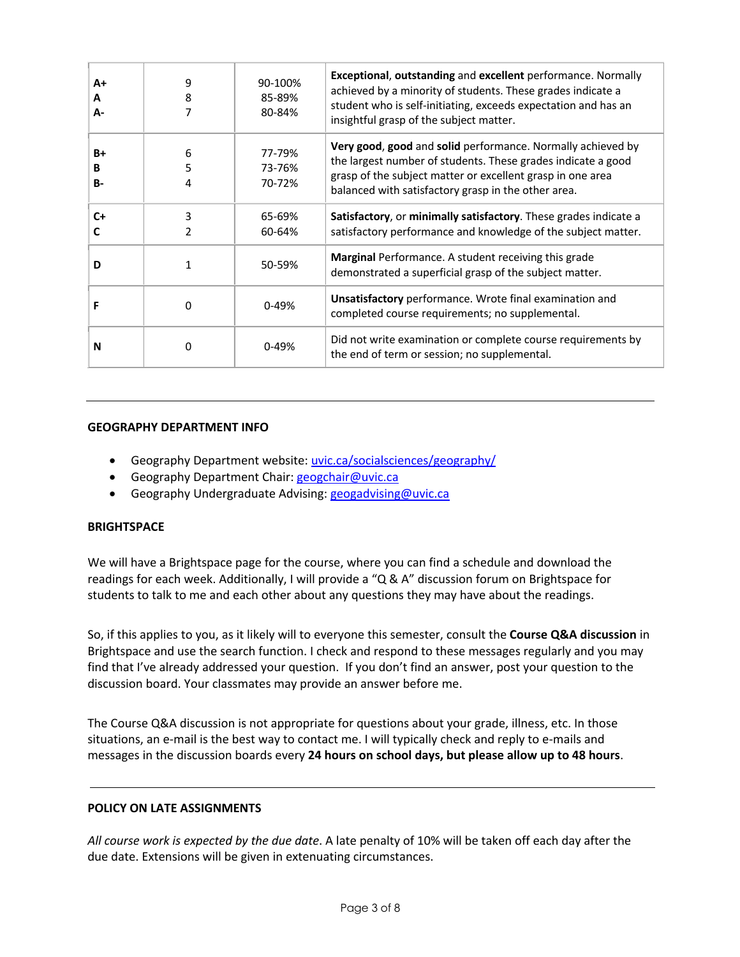| $A+$<br>A<br>А- | 9<br>8      | 90-100%<br>85-89%<br>80-84% | <b>Exceptional, outstanding and excellent performance. Normally</b><br>achieved by a minority of students. These grades indicate a<br>student who is self-initiating, exceeds expectation and has an<br>insightful grasp of the subject matter.  |
|-----------------|-------------|-----------------------------|--------------------------------------------------------------------------------------------------------------------------------------------------------------------------------------------------------------------------------------------------|
| B+<br>B<br>B-   | 6<br>5<br>4 | 77-79%<br>73-76%<br>70-72%  | Very good, good and solid performance. Normally achieved by<br>the largest number of students. These grades indicate a good<br>grasp of the subject matter or excellent grasp in one area<br>balanced with satisfactory grasp in the other area. |
| $C+$            | 3           | 65-69%<br>60-64%            | Satisfactory, or minimally satisfactory. These grades indicate a<br>satisfactory performance and knowledge of the subject matter.                                                                                                                |
| D               | 1           | 50-59%                      | <b>Marginal</b> Performance. A student receiving this grade<br>demonstrated a superficial grasp of the subject matter.                                                                                                                           |
|                 | O           | $0 - 49%$                   | Unsatisfactory performance. Wrote final examination and<br>completed course requirements; no supplemental.                                                                                                                                       |
| N               | 0           | $0 - 49%$                   | Did not write examination or complete course requirements by<br>the end of term or session; no supplemental.                                                                                                                                     |

#### **GEOGRAPHY DEPARTMENT INFO**

- Geography Department website: uvic.ca/socialsciences/geography/
- Geography Department Chair: geogchair@uvic.ca
- Geography Undergraduate Advising: geogadvising@uvic.ca

## **BRIGHTSPACE**

We will have a Brightspace page for the course, where you can find a schedule and download the readings for each week. Additionally, I will provide a "Q & A" discussion forum on Brightspace for students to talk to me and each other about any questions they may have about the readings.

So, if this applies to you, as it likely will to everyone this semester, consult the **Course Q&A discussion** in Brightspace and use the search function. I check and respond to these messages regularly and you may find that I've already addressed your question. If you don't find an answer, post your question to the discussion board. Your classmates may provide an answer before me.

The Course Q&A discussion is not appropriate for questions about your grade, illness, etc. In those situations, an e-mail is the best way to contact me. I will typically check and reply to e-mails and messages in the discussion boards every **24 hours on school days, but please allow up to 48 hours**.

## **POLICY ON LATE ASSIGNMENTS**

*All course work is expected by the due date*. A late penalty of 10% will be taken off each day after the due date. Extensions will be given in extenuating circumstances.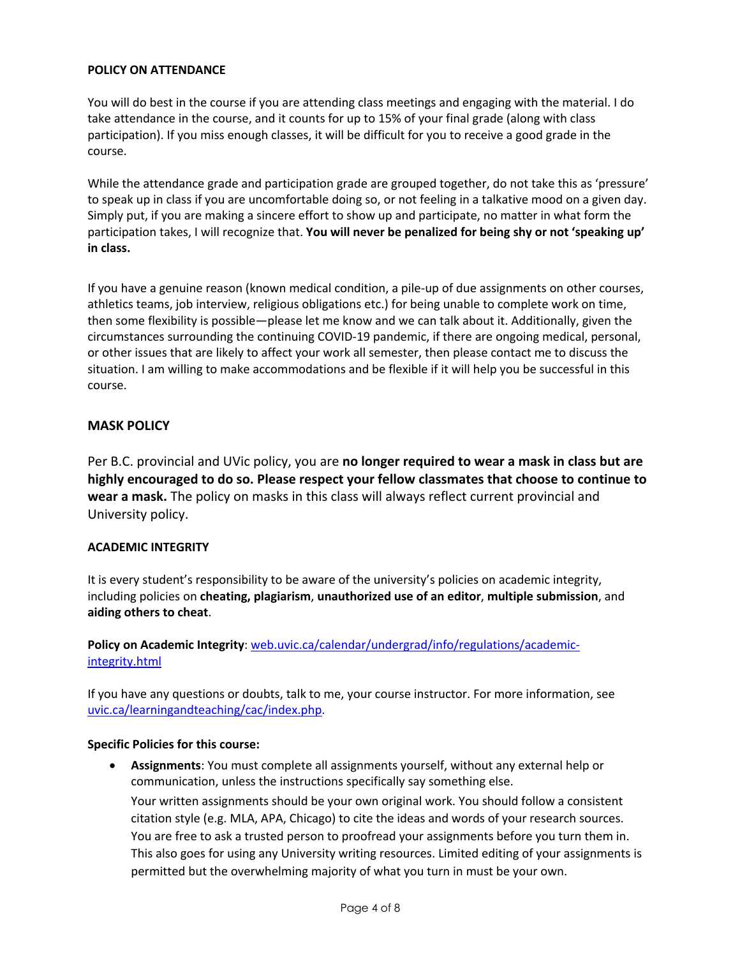## **POLICY ON ATTENDANCE**

You will do best in the course if you are attending class meetings and engaging with the material. I do take attendance in the course, and it counts for up to 15% of your final grade (along with class participation). If you miss enough classes, it will be difficult for you to receive a good grade in the course.

While the attendance grade and participation grade are grouped together, do not take this as 'pressure' to speak up in class if you are uncomfortable doing so, or not feeling in a talkative mood on a given day. Simply put, if you are making a sincere effort to show up and participate, no matter in what form the participation takes, I will recognize that. **You will never be penalized for being shy or not 'speaking up' in class.**

If you have a genuine reason (known medical condition, a pile-up of due assignments on other courses, athletics teams, job interview, religious obligations etc.) for being unable to complete work on time, then some flexibility is possible—please let me know and we can talk about it. Additionally, given the circumstances surrounding the continuing COVID-19 pandemic, if there are ongoing medical, personal, or other issues that are likely to affect your work all semester, then please contact me to discuss the situation. I am willing to make accommodations and be flexible if it will help you be successful in this course.

# **MASK POLICY**

Per B.C. provincial and UVic policy, you are **no longer required to wear a mask in class but are highly encouraged to do so. Please respect your fellow classmates that choose to continue to wear a mask.** The policy on masks in this class will always reflect current provincial and University policy.

## **ACADEMIC INTEGRITY**

It is every student's responsibility to be aware of the university's policies on academic integrity, including policies on **cheating, plagiarism**, **unauthorized use of an editor**, **multiple submission**, and **aiding others to cheat**.

**Policy on Academic Integrity**: web.uvic.ca/calendar/undergrad/info/regulations/academicintegrity.html

If you have any questions or doubts, talk to me, your course instructor. For more information, see uvic.ca/learningandteaching/cac/index.php.

## **Specific Policies for this course:**

• **Assignments**: You must complete all assignments yourself, without any external help or communication, unless the instructions specifically say something else. Your written assignments should be your own original work. You should follow a consistent citation style (e.g. MLA, APA, Chicago) to cite the ideas and words of your research sources. You are free to ask a trusted person to proofread your assignments before you turn them in. This also goes for using any University writing resources. Limited editing of your assignments is permitted but the overwhelming majority of what you turn in must be your own.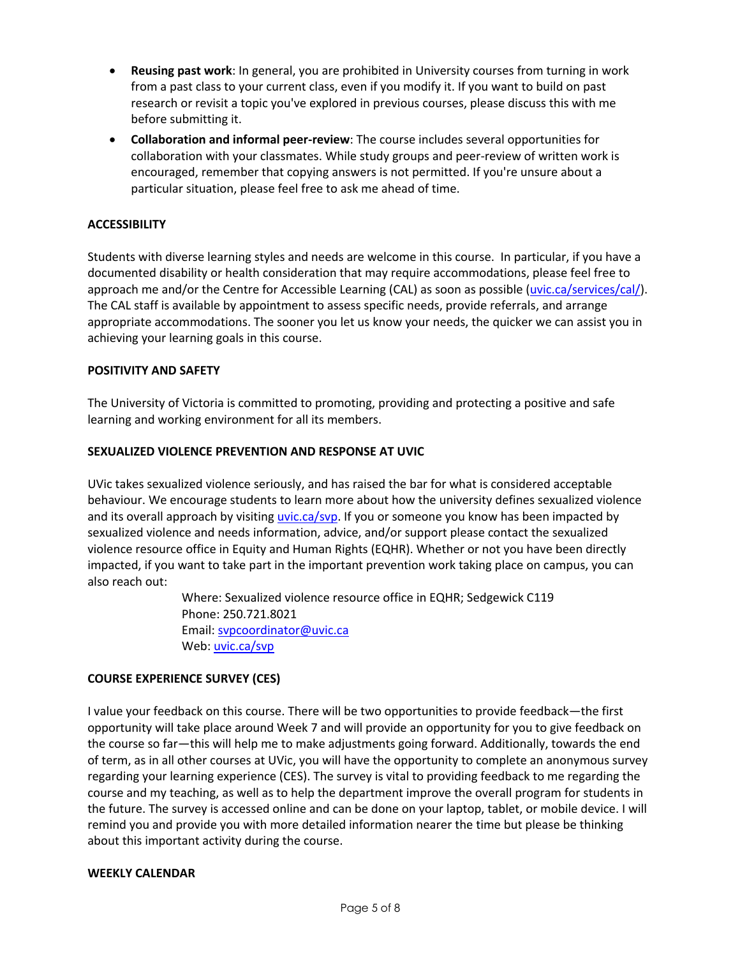- **Reusing past work**: In general, you are prohibited in University courses from turning in work from a past class to your current class, even if you modify it. If you want to build on past research or revisit a topic you've explored in previous courses, please discuss this with me before submitting it.
- **Collaboration and informal peer-review**: The course includes several opportunities for collaboration with your classmates. While study groups and peer-review of written work is encouraged, remember that copying answers is not permitted. If you're unsure about a particular situation, please feel free to ask me ahead of time.

## **ACCESSIBILITY**

Students with diverse learning styles and needs are welcome in this course. In particular, if you have a documented disability or health consideration that may require accommodations, please feel free to approach me and/or the Centre for Accessible Learning (CAL) as soon as possible (uvic.ca/services/cal/). The CAL staff is available by appointment to assess specific needs, provide referrals, and arrange appropriate accommodations. The sooner you let us know your needs, the quicker we can assist you in achieving your learning goals in this course.

#### **POSITIVITY AND SAFETY**

The University of Victoria is committed to promoting, providing and protecting a positive and safe learning and working environment for all its members.

## **SEXUALIZED VIOLENCE PREVENTION AND RESPONSE AT UVIC**

UVic takes sexualized violence seriously, and has raised the bar for what is considered acceptable behaviour. We encourage students to learn more about how the university defines sexualized violence and its overall approach by visiting uvic.ca/svp. If you or someone you know has been impacted by sexualized violence and needs information, advice, and/or support please contact the sexualized violence resource office in Equity and Human Rights (EQHR). Whether or not you have been directly impacted, if you want to take part in the important prevention work taking place on campus, you can also reach out:

> Where: Sexualized violence resource office in EQHR; Sedgewick C119 Phone: 250.721.8021 Email: svpcoordinator@uvic.ca Web: uvic.ca/svp

## **COURSE EXPERIENCE SURVEY (CES)**

I value your feedback on this course. There will be two opportunities to provide feedback—the first opportunity will take place around Week 7 and will provide an opportunity for you to give feedback on the course so far—this will help me to make adjustments going forward. Additionally, towards the end of term, as in all other courses at UVic, you will have the opportunity to complete an anonymous survey regarding your learning experience (CES). The survey is vital to providing feedback to me regarding the course and my teaching, as well as to help the department improve the overall program for students in the future. The survey is accessed online and can be done on your laptop, tablet, or mobile device. I will remind you and provide you with more detailed information nearer the time but please be thinking about this important activity during the course.

#### **WEEKLY CALENDAR**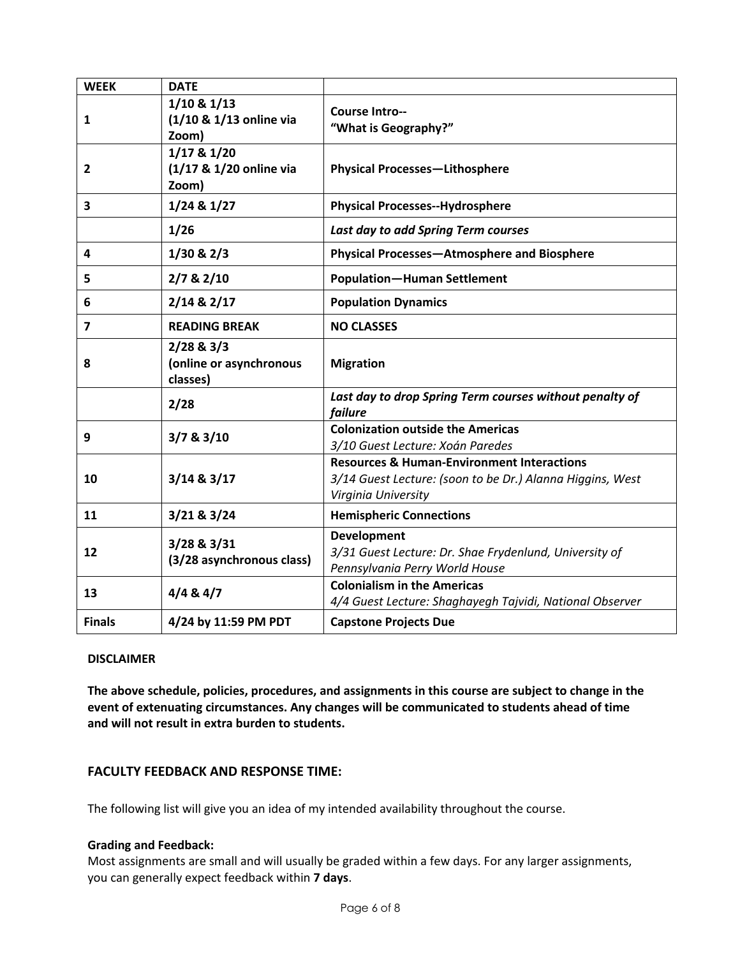| <b>WEEK</b>    | <b>DATE</b>                                         |                                                                                                                                           |  |
|----------------|-----------------------------------------------------|-------------------------------------------------------------------------------------------------------------------------------------------|--|
| $\mathbf{1}$   | $1/10$ & $1/13$<br>(1/10 & 1/13 online via<br>Zoom) | <b>Course Intro--</b><br>"What is Geography?"                                                                                             |  |
| $\mathbf{2}$   | 1/17 & 1/20<br>(1/17 & 1/20 online via<br>Zoom)     | <b>Physical Processes-Lithosphere</b>                                                                                                     |  |
| 3              | 1/24 & 1/27                                         | <b>Physical Processes--Hydrosphere</b>                                                                                                    |  |
|                | 1/26                                                | Last day to add Spring Term courses                                                                                                       |  |
| 4              | $1/30$ & $2/3$                                      | Physical Processes-Atmosphere and Biosphere                                                                                               |  |
| 5              | 2/7 & 2/10                                          | <b>Population-Human Settlement</b>                                                                                                        |  |
| 6              | $2/14$ & $2/17$                                     | <b>Population Dynamics</b>                                                                                                                |  |
| $\overline{7}$ | <b>READING BREAK</b><br><b>NO CLASSES</b>           |                                                                                                                                           |  |
| 8              | 2/28 & 3/3<br>(online or asynchronous<br>classes)   | <b>Migration</b>                                                                                                                          |  |
|                | 2/28                                                | Last day to drop Spring Term courses without penalty of<br>failure                                                                        |  |
| 9              | 3/7 & 3/10                                          | <b>Colonization outside the Americas</b><br>3/10 Guest Lecture: Xoán Paredes                                                              |  |
| 10             | $3/14$ & $3/17$                                     | <b>Resources &amp; Human-Environment Interactions</b><br>3/14 Guest Lecture: (soon to be Dr.) Alanna Higgins, West<br>Virginia University |  |
| 11             | 3/21 & 83/24                                        | <b>Hemispheric Connections</b>                                                                                                            |  |
| 12             | 3/28 & 3/31<br>(3/28 asynchronous class)            | <b>Development</b><br>3/31 Guest Lecture: Dr. Shae Frydenlund, University of<br>Pennsylvania Perry World House                            |  |
| 13             | 4/484/7                                             | <b>Colonialism in the Americas</b><br>4/4 Guest Lecture: Shaghayegh Tajvidi, National Observer                                            |  |
| <b>Finals</b>  | 4/24 by 11:59 PM PDT                                | <b>Capstone Projects Due</b>                                                                                                              |  |

## **DISCLAIMER**

**The above schedule, policies, procedures, and assignments in this course are subject to change in the event of extenuating circumstances. Any changes will be communicated to students ahead of time and will not result in extra burden to students.**

# **FACULTY FEEDBACK AND RESPONSE TIME:**

The following list will give you an idea of my intended availability throughout the course.

#### **Grading and Feedback:**

Most assignments are small and will usually be graded within a few days. For any larger assignments, you can generally expect feedback within **7 days**.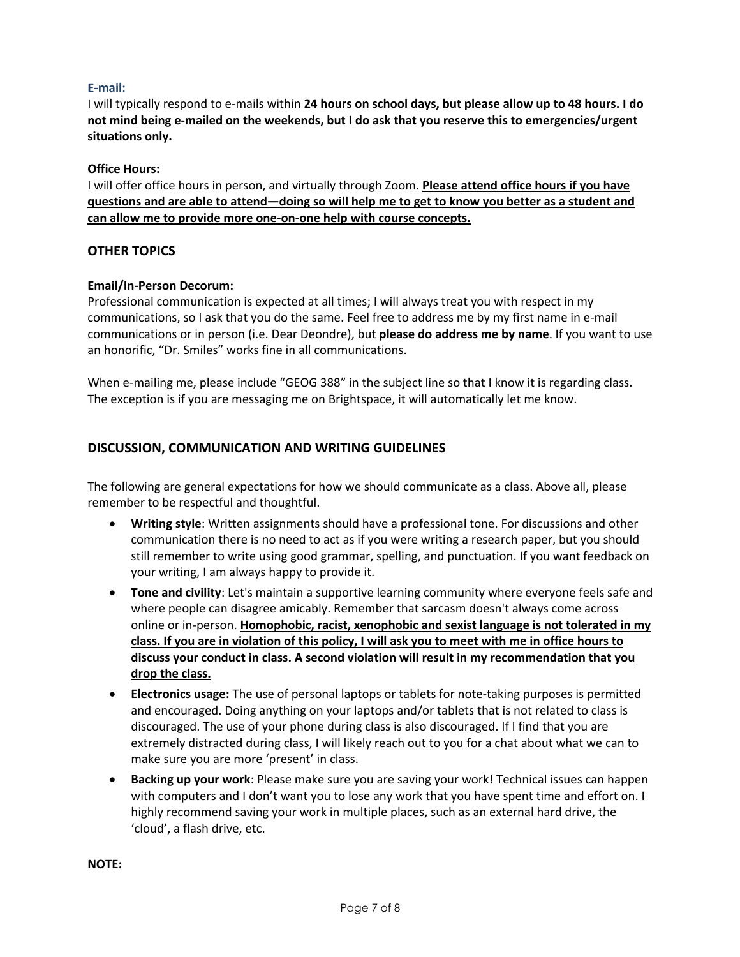## **E-mail:**

I will typically respond to e-mails within **24 hours on school days, but please allow up to 48 hours. I do not mind being e-mailed on the weekends, but I do ask that you reserve this to emergencies/urgent situations only.**

#### **Office Hours:**

I will offer office hours in person, and virtually through Zoom. **Please attend office hours if you have questions and are able to attend—doing so will help me to get to know you better as a student and can allow me to provide more one-on-one help with course concepts.**

## **OTHER TOPICS**

#### **Email/In-Person Decorum:**

Professional communication is expected at all times; I will always treat you with respect in my communications, so I ask that you do the same. Feel free to address me by my first name in e-mail communications or in person (i.e. Dear Deondre), but **please do address me by name**. If you want to use an honorific, "Dr. Smiles" works fine in all communications.

When e-mailing me, please include "GEOG 388" in the subject line so that I know it is regarding class. The exception is if you are messaging me on Brightspace, it will automatically let me know.

# **DISCUSSION, COMMUNICATION AND WRITING GUIDELINES**

The following are general expectations for how we should communicate as a class. Above all, please remember to be respectful and thoughtful.

- **Writing style**: Written assignments should have a professional tone. For discussions and other communication there is no need to act as if you were writing a research paper, but you should still remember to write using good grammar, spelling, and punctuation. If you want feedback on your writing, I am always happy to provide it.
- **Tone and civility**: Let's maintain a supportive learning community where everyone feels safe and where people can disagree amicably. Remember that sarcasm doesn't always come across online or in-person. **Homophobic, racist, xenophobic and sexist language is not tolerated in my class. If you are in violation of this policy, I will ask you to meet with me in office hours to discuss your conduct in class. A second violation will result in my recommendation that you drop the class.**
- **Electronics usage:** The use of personal laptops or tablets for note-taking purposes is permitted and encouraged. Doing anything on your laptops and/or tablets that is not related to class is discouraged. The use of your phone during class is also discouraged. If I find that you are extremely distracted during class, I will likely reach out to you for a chat about what we can to make sure you are more 'present' in class.
- **Backing up your work**: Please make sure you are saving your work! Technical issues can happen with computers and I don't want you to lose any work that you have spent time and effort on. I highly recommend saving your work in multiple places, such as an external hard drive, the 'cloud', a flash drive, etc.

**NOTE:**